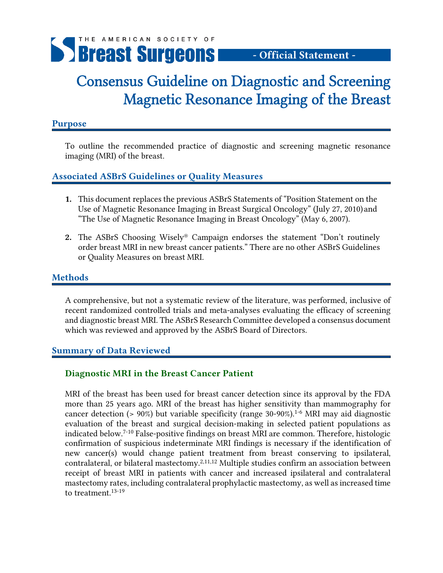

# - Official Statement -

# Consensus Guideline on Diagnostic and Screening Magnetic Resonance Imaging of the Breast

#### Purpose

To outline the recommended practice of diagnostic and screening magnetic resonance imaging (MRI) of the breast.

# Associated ASBrS Guidelines or Quality Measures

- 1. This document replaces the previous ASBrS Statements of "Position Statement on the Use of Magnetic Resonance Imaging in Breast Surgical Oncology" (July 27, 2010) and "The Use of Magnetic Resonance Imaging in Breast Oncology" (May 6, 2007).
- 2. The ASBrS Choosing Wisely® Campaign endorses the statement "Don't routinely order breast MRI in new breast cancer patients." There are no other ASBrS Guidelines or Quality Measures on breast MRI.

## Methods

A comprehensive, but not a systematic review of the literature, was performed, inclusive of recent randomized controlled trials and meta-analyses evaluating the efficacy of screening and diagnostic breast MRI. The ASBrS Research Committee developed a consensus document which was reviewed and approved by the ASBrS Board of Directors.

#### Summary of Data Reviewed

# Diagnostic MRI in the Breast Cancer Patient

MRI of the breast has been used for breast cancer detection since its approval by the FDA more than 25 years ago. MRI of the breast has higher sensitivity than mammography for cancer detection (> 90%) but variable specificity (range 30-90%).<sup>1-6</sup> MRI may aid diagnostic evaluation of the breast and surgical decision-making in selected patient populations as indicated below.7-10 False-positive findings on breast MRI are common. Therefore, histologic confirmation of suspicious indeterminate MRI findings is necessary if the identification of new cancer(s) would change patient treatment from breast conserving to ipsilateral, contralateral, or bilateral mastectomy.<sup>2,11,12</sup> Multiple studies confirm an association between receipt of breast MRI in patients with cancer and increased ipsilateral and contralateral mastectomy rates, including contralateral prophylactic mastectomy, as well as increased time to treatment.13-19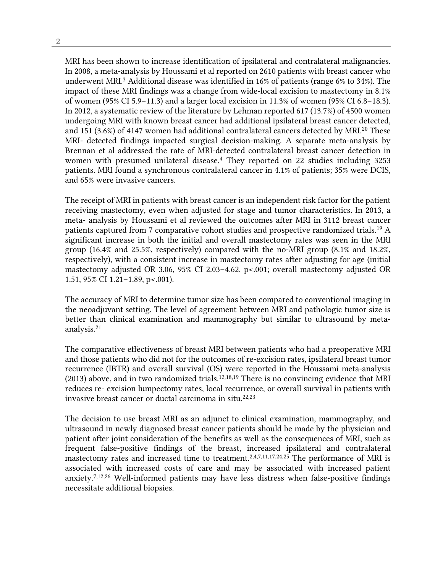MRI has been shown to increase identification of ipsilateral and contralateral malignancies. In 2008, a meta-analysis by Houssami et al reported on 2610 patients with breast cancer who underwent MRI.3 Additional disease was identified in 16% of patients (range 6% to 34%). The impact of these MRI findings was a change from wide-local excision to mastectomy in 8.1% of women (95% CI 5.9–11.3) and a larger local excision in 11.3% of women (95% CI 6.8–18.3). In 2012, a systematic review of the literature by Lehman reported 617 (13.7%) of 4500 women undergoing MRI with known breast cancer had additional ipsilateral breast cancer detected, and 151 (3.6%) of 4147 women had additional contralateral cancers detected by MRI.20 These MRI- detected findings impacted surgical decision-making. A separate meta-analysis by Brennan et al addressed the rate of MRI-detected contralateral breast cancer detection in women with presumed unilateral disease.<sup>4</sup> They reported on 22 studies including 3253 patients. MRI found a synchronous contralateral cancer in 4.1% of patients; 35% were DCIS, and 65% were invasive cancers.

The receipt of MRI in patients with breast cancer is an independent risk factor for the patient receiving mastectomy, even when adjusted for stage and tumor characteristics. In 2013, a meta- analysis by Houssami et al reviewed the outcomes after MRI in 3112 breast cancer patients captured from 7 comparative cohort studies and prospective randomized trials.19 A significant increase in both the initial and overall mastectomy rates was seen in the MRI group (16.4% and 25.5%, respectively) compared with the no-MRI group (8.1% and 18.2%, respectively), with a consistent increase in mastectomy rates after adjusting for age (initial mastectomy adjusted OR 3.06, 95% CI 2.03–4.62, p<.001; overall mastectomy adjusted OR 1.51, 95% CI 1.21–1.89, p<.001).

The accuracy of MRI to determine tumor size has been compared to conventional imaging in the neoadjuvant setting. The level of agreement between MRI and pathologic tumor size is better than clinical examination and mammography but similar to ultrasound by metaanalysis.21

The comparative effectiveness of breast MRI between patients who had a preoperative MRI and those patients who did not for the outcomes of re-excision rates, ipsilateral breast tumor recurrence (IBTR) and overall survival (OS) were reported in the Houssami meta-analysis (2013) above, and in two randomized trials.12,18,19 There is no convincing evidence that MRI reduces re- excision lumpectomy rates, local recurrence, or overall survival in patients with invasive breast cancer or ductal carcinoma in situ.<sup>22,23</sup>

The decision to use breast MRI as an adjunct to clinical examination, mammography, and ultrasound in newly diagnosed breast cancer patients should be made by the physician and patient after joint consideration of the benefits as well as the consequences of MRI, such as frequent false-positive findings of the breast, increased ipsilateral and contralateral mastectomy rates and increased time to treatment.2,4,7,11,17,24,25 The performance of MRI is associated with increased costs of care and may be associated with increased patient anxiety.7,12,26 Well-informed patients may have less distress when false-positive findings necessitate additional biopsies.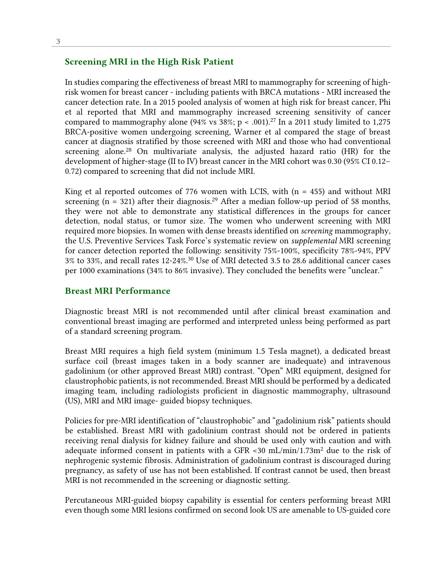#### Screening MRI in the High Risk Patient

In studies comparing the effectiveness of breast MRI to mammography for screening of highrisk women for breast cancer - including patients with BRCA mutations - MRI increased the cancer detection rate. In a 2015 pooled analysis of women at high risk for breast cancer, Phi et al reported that MRI and mammography increased screening sensitivity of cancer compared to mammography alone (94% vs  $38\%$ ; p < .001).<sup>27</sup> In a 2011 study limited to 1,275 BRCA-positive women undergoing screening, Warner et al compared the stage of breast cancer at diagnosis stratified by those screened with MRI and those who had conventional screening alone.<sup>28</sup> On multivariate analysis, the adjusted hazard ratio  $(HR)$  for the development of higher-stage (II to IV) breast cancer in the MRI cohort was 0.30 (95% CI 0.12– 0.72) compared to screening that did not include MRI.

King et al reported outcomes of 776 women with LCIS, with  $(n = 455)$  and without MRI screening (n = 321) after their diagnosis.<sup>29</sup> After a median follow-up period of 58 months, they were not able to demonstrate any statistical differences in the groups for cancer detection, nodal status, or tumor size. The women who underwent screening with MRI required more biopsies. In women with dense breasts identified on *screening* mammography, the U.S. Preventive Services Task Force's systematic review on *supplemental* MRI screening for cancer detection reported the following: sensitivity 75%-100%, specificity 78%-94%, PPV 3% to 33%, and recall rates 12-24%.30 Use of MRI detected 3.5 to 28.6 additional cancer cases per 1000 examinations (34% to 86% invasive). They concluded the benefits were "unclear."

#### Breast MRI Performance

Diagnostic breast MRI is not recommended until after clinical breast examination and conventional breast imaging are performed and interpreted unless being performed as part of a standard screening program.

Breast MRI requires a high field system (minimum 1.5 Tesla magnet), a dedicated breast surface coil (breast images taken in a body scanner are inadequate) and intravenous gadolinium (or other approved Breast MRI) contrast. "Open" MRI equipment, designed for claustrophobic patients, is not recommended. Breast MRI should be performed by a dedicated imaging team, including radiologists proficient in diagnostic mammography, ultrasound (US), MRI and MRI image- guided biopsy techniques.

Policies for pre-MRI identification of "claustrophobic" and "gadolinium risk" patients should be established. Breast MRI with gadolinium contrast should not be ordered in patients receiving renal dialysis for kidney failure and should be used only with caution and with adequate informed consent in patients with a GFR  $\lt 30$  mL/min/1.73m<sup>2</sup> due to the risk of nephrogenic systemic fibrosis. Administration of gadolinium contrast is discouraged during pregnancy, as safety of use has not been established. If contrast cannot be used, then breast MRI is not recommended in the screening or diagnostic setting.

Percutaneous MRI-guided biopsy capability is essential for centers performing breast MRI even though some MRI lesions confirmed on second look US are amenable to US-guided core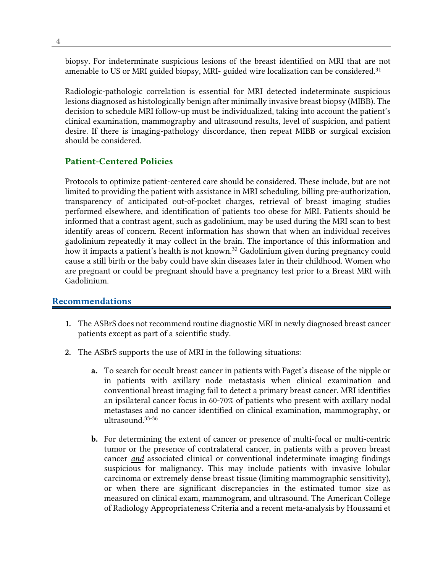biopsy. For indeterminate suspicious lesions of the breast identified on MRI that are not amenable to US or MRI guided biopsy, MRI- guided wire localization can be considered.<sup>31</sup>

Radiologic-pathologic correlation is essential for MRI detected indeterminate suspicious lesions diagnosed as histologically benign after minimally invasive breast biopsy (MIBB). The decision to schedule MRI follow-up must be individualized, taking into account the patient's clinical examination, mammography and ultrasound results, level of suspicion, and patient desire. If there is imaging-pathology discordance, then repeat MIBB or surgical excision should be considered.

## Patient-Centered Policies

Protocols to optimize patient-centered care should be considered. These include, but are not limited to providing the patient with assistance in MRI scheduling, billing pre-authorization, transparency of anticipated out-of-pocket charges, retrieval of breast imaging studies performed elsewhere, and identification of patients too obese for MRI. Patients should be informed that a contrast agent, such as gadolinium, may be used during the MRI scan to best identify areas of concern. Recent information has shown that when an individual receives gadolinium repeatedly it may collect in the brain. The importance of this information and how it impacts a patient's health is not known.<sup>32</sup> Gadolinium given during pregnancy could cause a still birth or the baby could have skin diseases later in their childhood. Women who are pregnant or could be pregnant should have a pregnancy test prior to a Breast MRI with Gadolinium.

#### Recommendations

- 1. The ASBrS does not recommend routine diagnostic MRI in newly diagnosed breast cancer patients except as part of a scientific study.
- 2. The ASBrS supports the use of MRI in the following situations:
	- a. To search for occult breast cancer in patients with Paget's disease of the nipple or in patients with axillary node metastasis when clinical examination and conventional breast imaging fail to detect a primary breast cancer. MRI identifies an ipsilateral cancer focus in 60-70% of patients who present with axillary nodal metastases and no cancer identified on clinical examination, mammography, or ultrasound.33-36
	- b. For determining the extent of cancer or presence of multi-focal or multi-centric tumor or the presence of contralateral cancer, in patients with a proven breast cancer *and* associated clinical or conventional indeterminate imaging findings suspicious for malignancy. This may include patients with invasive lobular carcinoma or extremely dense breast tissue (limiting mammographic sensitivity), or when there are significant discrepancies in the estimated tumor size as measured on clinical exam, mammogram, and ultrasound. The American College of Radiology Appropriateness Criteria and a recent meta-analysis by Houssami et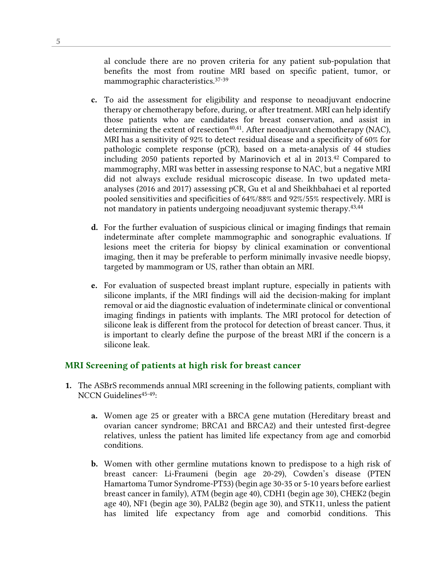al conclude there are no proven criteria for any patient sub-population that benefits the most from routine MRI based on specific patient, tumor, or mammographic characteristics.37-39

- c. To aid the assessment for eligibility and response to neoadjuvant endocrine therapy or chemotherapy before, during, or after treatment. MRI can help identify those patients who are candidates for breast conservation, and assist in determining the extent of resection<sup>40,41</sup>. After neoadjuvant chemotherapy (NAC), MRI has a sensitivity of 92% to detect residual disease and a specificity of 60% for pathologic complete response (pCR), based on a meta-analysis of 44 studies including 2050 patients reported by Marinovich et al in 2013.42 Compared to mammography, MRI was better in assessing response to NAC, but a negative MRI did not always exclude residual microscopic disease. In two updated metaanalyses (2016 and 2017) assessing pCR, Gu et al and Sheikhbahaei et al reported pooled sensitivities and specificities of 64%/88% and 92%/55% respectively. MRI is not mandatory in patients undergoing neoadjuvant systemic therapy.<sup>43,44</sup>
- d. For the further evaluation of suspicious clinical or imaging findings that remain indeterminate after complete mammographic and sonographic evaluations. If lesions meet the criteria for biopsy by clinical examination or conventional imaging, then it may be preferable to perform minimally invasive needle biopsy, targeted by mammogram or US, rather than obtain an MRI.
- e. For evaluation of suspected breast implant rupture, especially in patients with silicone implants, if the MRI findings will aid the decision-making for implant removal or aid the diagnostic evaluation of indeterminate clinical or conventional imaging findings in patients with implants. The MRI protocol for detection of silicone leak is different from the protocol for detection of breast cancer. Thus, it is important to clearly define the purpose of the breast MRI if the concern is a silicone leak.

#### MRI Screening of patients at high risk for breast cancer

- 1. The ASBrS recommends annual MRI screening in the following patients, compliant with NCCN Guidelines<sup>45-49</sup>:
	- a. Women age 25 or greater with a BRCA gene mutation (Hereditary breast and ovarian cancer syndrome; BRCA1 and BRCA2) and their untested first-degree relatives, unless the patient has limited life expectancy from age and comorbid conditions.
	- b. Women with other germline mutations known to predispose to a high risk of breast cancer: Li-Fraumeni (begin age 20-29), Cowden's disease (PTEN Hamartoma Tumor Syndrome-PT53) (begin age 30-35 or 5-10 years before earliest breast cancer in family), ATM (begin age 40), CDH1 (begin age 30), CHEK2 (begin age 40), NF1 (begin age 30), PALB2 (begin age 30), and STK11, unless the patient has limited life expectancy from age and comorbid conditions. This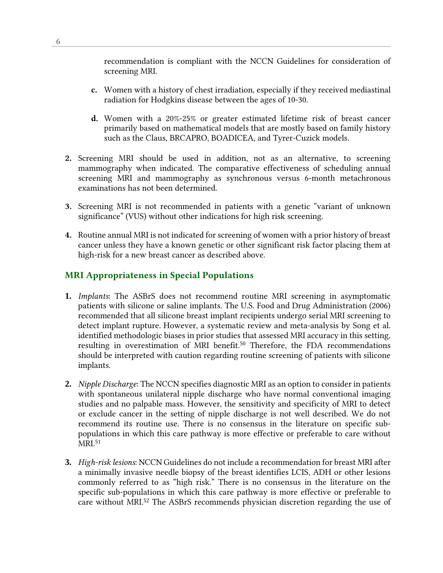recommendation is compliant with the NCCN Guidelines for consideration of screening MRI.

- c. Women with a history of chest irradiation, especially if they received mediastinal radiation for Hodgkins disease between the ages of 10-30.
- d. Women with a 20%-25% or greater estimated lifetime risk of breast cancer primarily based on mathematical models that are mostly based on family history such as the Claus, BRCAPRO, BOADICEA, and Tyrer-Cuzick models.
- 2. Screening MRI should be used in addition, not as an alternative, to screening mammography when indicated. The comparative effectiveness of scheduling annual screening MRI and mammography as synchronous versus 6-month metachronous examinations has not been determined.
- 3. Screening MRI is not recommended in patients with a genetic "variant of unknown significance" (VUS) without other indications for high risk screening.
- 4. Routine annual MRI is not indicated for screening of women with a prior history of breast cancer unless they have a known genetic or other significant risk factor placing them at high-risk for a new breast cancer as described above.

## MRI Appropriateness in Special Populations

- **1.** *Implants*: The ASBrS does not recommend routine MRI screening in asymptomatic patients with silicone or saline implants. The U.S. Food and Drug Administration (2006) recommended that all silicone breast implant recipients undergo serial MRI screening to detect implant rupture. However, a systematic review and meta-analysis by Song et al. identified methodologic biases in prior studies that assessed MRI accuracy in this setting, resulting in overestimation of MRI benefit.50 Therefore, the FDA recommendations should be interpreted with caution regarding routine screening of patients with silicone implants.
- **2.** *Nipple Discharge*: The NCCN specifies diagnostic MRI as an option to consider in patients with spontaneous unilateral nipple discharge who have normal conventional imaging studies and no palpable mass. However, the sensitivity and specificity of MRI to detect or exclude cancer in the setting of nipple discharge is not well described. We do not recommend its routine use. There is no consensus in the literature on specific subpopulations in which this care pathway is more effective or preferable to care without MRI.51
- **3.** *High-risk lesions*: NCCN Guidelines do not include a recommendation for breast MRI after a minimally invasive needle biopsy of the breast identifies LCIS, ADH or other lesions commonly referred to as "high risk." There is no consensus in the literature on the specific sub-populations in which this care pathway is more effective or preferable to care without MRI.52 The ASBrS recommends physician discretion regarding the use of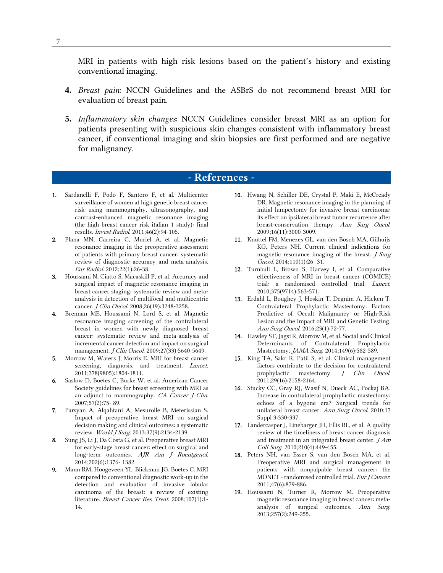MRI in patients with high risk lesions based on the patient's history and existing conventional imaging.

- **4.** *Breast pain*: NCCN Guidelines and the ASBrS do not recommend breast MRI for evaluation of breast pain.
- **5.** *Inflammatory skin changes*: NCCN Guidelines consider breast MRI as an option for patients presenting with suspicious skin changes consistent with inflammatory breast cancer, if conventional imaging and skin biopsies are first performed and are negative for malignancy.

# - References -

- 1. Sardanelli F, Podo F, Santoro F, et al. Multicenter surveillance of women at high genetic breast cancer risk using mammography, ultrasonography, and contrast-enhanced magnetic resonance imaging (the high breast cancer risk italian 1 study): final results. Invest Radiol. 2011;46(2):94-105.
- 2. Plana MN, Carreira C, Muriel A, et al. Magnetic resonance imaging in the preoperative assessment of patients with primary breast cancer: systematic review of diagnostic accuracy and meta-analysis. Eur Radiol. 2012;22(1):26-38.
- 3. Houssami N, Ciatto S, Macaskill P, et al. Accuracy and surgical impact of magnetic resonance imaging in breast cancer staging: systematic review and metaanalysis in detection of multifocal and multicentric cancer. J Clin Oncol. 2008;26(19):3248-3258.
- 4. Brennan ME, Houssami N, Lord S, et al. Magnetic resonance imaging screening of the contralateral breast in women with newly diagnosed breast cancer: systematic review and meta-analysis of incremental cancer detection and impact on surgical management. J Clin Oncol. 2009;27(33):5640-5649.
- 5. Morrow M, Waters J, Morris E. MRI for breast cancer screening, diagnosis, and treatment. *Lancet*. 2011;378(9805):1804-1811.
- 6. Saslow D, Boetes C, Burke W, et al. American Cancer Society guidelines for breast screening with MRI as an adjunct to mammography. CA Cancer J Clin. 2007;57(2):75- 89.
- 7. Parsyan A, Alqahtani A, Mesurolle B, Meterissian S. Impact of preoperative breast MRI on surgical decision making and clinical outcomes: a systematic review. World J Surg. 2013;37(9):2134-2139.
- 8. Sung JS, Li J, Da Costa G, et al. Preoperative breast MRI for early-stage breast cancer: effect on surgical and long-term outcomes. AJR Am J Roentgenol. 2014;202(6):1376- 1382.
- 9. Mann RM, Hoogeveen YL, Blickman JG, Boetes C. MRI compared to conventional diagnostic work-up in the detection and evaluation of invasive lobular carcinoma of the breast: a review of existing literature. Breast Cancer Res Treat. 2008;107(1):1-14.
- 10. Hwang N, Schiller DE, Crystal P, Maki E, McCready DR. Magnetic resonance imaging in the planning of initial lumpectomy for invasive breast carcinoma: its effect on ipsilateral breast tumor recurrence after breast-conservation therapy. Ann Surg Oncol. 2009;16(11):3000-3009.
- 11. Knuttel FM, Menezes GL, van den Bosch MA, Gilhuijs KG, Peters NH. Current clinical indications for magnetic resonance imaging of the breast. J Surg Oncol. 2014;110(1):26- 31.
- 12. Turnbull L, Brown S, Harvey I, et al. Comparative effectiveness of MRI in breast cancer (COMICE) trial: a randomised controlled trial. Lancet. 2010;375(9714):563-571.
- 13. Erdahl L, Boughey J, Hoskin T, Degnim A, Hieken T. Contralateral Prophylactic Mastectomy: Factors Predictive of Occult Malignancy or High-Risk Lesion and the Impact of MRI and Genetic Testing. Ann Surg Oncol. 2016;23(1):72-77.
- 14. Hawley ST, Jagsi R, Morrow M, et al. Social and Clinical Determinants of Contralateral Prophylactic Mastectomy. JAMA Surg. 2014;149(6):582-589.
- 15. King TA, Sakr R, Patil S, et al. Clinical management factors contribute to the decision for contralateral prophylactic mastectomy. J Clin Oncol. 2011;29(16):2158-2164.
- 16. Stucky CC, Gray RJ, Wasif N, Dueck AC, Pockaj BA. Increase in contralateral prophylactic mastectomy: echoes of a bygone era? Surgical trends for unilateral breast cancer. Ann Surg Oncol. 2010;17 Suppl 3:330-337.
- 17. Landercasper J, Linebarger JH, Ellis RL, et al. A quality review of the timeliness of breast cancer diagnosis and treatment in an integrated breast center. J Am Coll Surg. 2010;210(4):449-455.
- 18. Peters NH, van Esser S, van den Bosch MA, et al. Preoperative MRI and surgical management in patients with nonpalpable breast cancer: the MONET - randomised controlled trial. Eur J Cancer. 2011;47(6):879-886.
- 19. Houssami N, Turner R, Morrow M. Preoperative magnetic resonance imaging in breast cancer: metaanalysis of surgical outcomes. Ann Surg. 2013;257(2):249-255.

7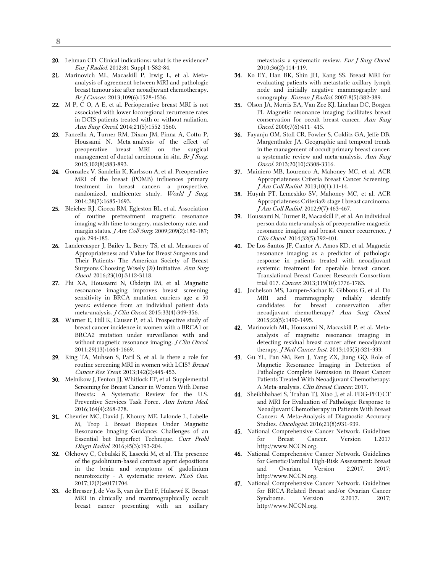- 20. Lehman CD. Clinical indications: what is the evidence? Eur J Radiol. 2012;81 Suppl 1:S82-84.
- 21. Marinovich ML, Macaskill P, Irwig L, et al. Metaanalysis of agreement between MRI and pathologic breast tumour size after neoadjuvant chemotherapy. Br J Cancer. 2013;109(6):1528-1536.
- 22. M P, C O, A E, et al. Perioperative breast MRI is not associated with lower locoregional recurrence rates in DCIS patients treated with or without radiation. Ann Surg Oncol. 2014;21(5):1552-1560.
- 23. Fancellu A, Turner RM, Dixon JM, Pinna A, Cottu P, Houssami N. Meta-analysis of the effect of preoperative breast MRI on the surgical management of ductal carcinoma in situ. Br  $J$  Surg. 2015;102(8):883-893.
- 24. Gonzalez V, Sandelin K, Karlsson A, et al. Preoperative MRI of the breast (POMB) influences primary treatment in breast cancer: a prospective, randomized, multicenter study. World  $J$  Surg. 2014;38(7):1685-1693.
- 25. Bleicher RJ, Ciocca RM, Egleston BL, et al. Association of routine pretreatment magnetic resonance imaging with time to surgery, mastectomy rate, and margin status. *J Am Coll Surg.* 2009;209(2):180-187; quiz 294-185.
- 26. Landercasper J, Bailey L, Berry TS, et al. Measures of Appropriateness and Value for Breast Surgeons and Their Patients: The American Society of Breast Surgeons Choosing Wisely (®) Initiative. Ann Surg Oncol. 2016;23(10):3112-3118.
- 27. Phi XA, Houssami N, Obdeijn IM, et al. Magnetic resonance imaging improves breast screening sensitivity in BRCA mutation carriers age  $\geq 50$ years: evidence from an individual patient data meta-analysis. J Clin Oncol. 2015;33(4):349-356.
- 28. Warner E, Hill K, Causer P, et al. Prospective study of breast cancer incidence in women with a BRCA1 or BRCA2 mutation under surveillance with and without magnetic resonance imaging. J Clin Oncol. 2011;29(13):1664-1669.
- 29. King TA, Muhsen S, Patil S, et al. Is there a role for routine screening MRI in women with LCIS? Breast Cancer Res Treat. 2013;142(2):445-453.
- 30. Melnikow J, Fenton JJ, Whitlock EP, et al. Supplemental Screening for Breast Cancer in Women With Dense Breasts: A Systematic Review for the U.S. Preventive Services Task Force. Ann Intern Med. 2016;164(4):268-278.
- 31. Chevrier MC, David J, Khoury ME, Lalonde L, Labelle M, Trop I. Breast Biopsies Under Magnetic Resonance Imaging Guidance: Challenges of an Essential but Imperfect Technique. Curr Probl Diagn Radiol. 2016;45(3):193-204.
- 32. Olchowy C, Cebulski K, Łasecki M, et al. The presence of the gadolinium-based contrast agent depositions in the brain and symptoms of gadolinium neurotoxicity - A systematic review. PLoS One. 2017;12(2):e0171704.
- 33. de Bresser J, de Vos B, van der Ent F, Hulsewé K. Breast MRI in clinically and mammographically occult breast cancer presenting with an axillary

metastasis: a systematic review. Eur J Surg Oncol. 2010;36(2):114-119.

- 34. Ko EY, Han BK, Shin JH, Kang SS. Breast MRI for evaluating patients with metastatic axillary lymph node and initially negative mammography and sonography. Korean J Radiol. 2007;8(5):382-389.
- 35. Olson JA, Morris EA, Van Zee KJ, Linehan DC, Borgen PI. Magnetic resonance imaging facilitates breast conservation for occult breast cancer. Ann Surg Oncol. 2000;7(6):411- 415.
- 36. Fayanju OM, Stoll CR, Fowler S, Colditz GA, Jeffe DB, Margenthaler JA. Geographic and temporal trends in the management of occult primary breast cancer: a systematic review and meta-analysis. Ann Surg Oncol. 2013;20(10):3308-3316.
- 37. Mainiero MB, Lourenco A, Mahoney MC, et al. ACR Appropriateness Criteria Breast Cancer Screening. J Am Coll Radiol. 2013;10(1):11-14.
- 38. Huynh PT, Lemeshko SV, Mahoney MC, et al. ACR Appropriateness Criteria® stage I breast carcinoma. J Am Coll Radiol. 2012;9(7):463-467.
- 39. Houssami N, Turner R, Macaskill P, et al. An individual person data meta-analysis of preoperative magnetic resonance imaging and breast cancer recurrence. J Clin Oncol. 2014;32(5):392-401.
- 40. De Los Santos JF, Cantor A, Amos KD, et al. Magnetic resonance imaging as a predictor of pathologic response in patients treated with neoadjuvant systemic treatment for operable breast cancer. Translational Breast Cancer Research Consortium trial 017. Cancer. 2013;119(10):1776-1783.
- 41. Jochelson MS, Lampen-Sachar K, Gibbons G, et al. Do MRI and mammography reliably identify candidates for breast conservation after neoadjuvant chemotherapy? Ann Surg Oncol. 2015;22(5):1490-1495.
- 42. Marinovich ML, Houssami N, Macaskill P, et al. Metaanalysis of magnetic resonance imaging in detecting residual breast cancer after neoadjuvant therapy. J Natl Cancer Inst. 2013;105(5):321-333.
- 43. Gu YL, Pan SM, Ren J, Yang ZX, Jiang GQ. Role of Magnetic Resonance Imaging in Detection of Pathologic Complete Remission in Breast Cancer Patients Treated With Neoadjuvant Chemotherapy: A Meta-analysis. Clin Breast Cancer. 2017.
- 44. Sheikhbahaei S, Trahan TJ, Xiao J, et al. FDG-PET/CT and MRI for Evaluation of Pathologic Response to Neoadjuvant Chemotherapy in Patients With Breast Cancer: A Meta-Analysis of Diagnostic Accuracy Studies. Oncologist. 2016;21(8):931-939.
- 45. National Comprehensive Cancer Network. Guidelines for Breast Cancer. Version 1.2017 http://www.NCCN.org.
- 46. National Comprehensive Cancer Network. Guidelines for Genetic/Familial High-Risk Assessment: Breast and Ovarian. Version 2.2017. 2017; http://www.NCCN.org.
- 47. National Comprehensive Cancer Network. Guidelines for BRCA-Related Breast and/or Ovarian Cancer Syndrome. Version 2.2017. 2017; http://www.NCCN.org.